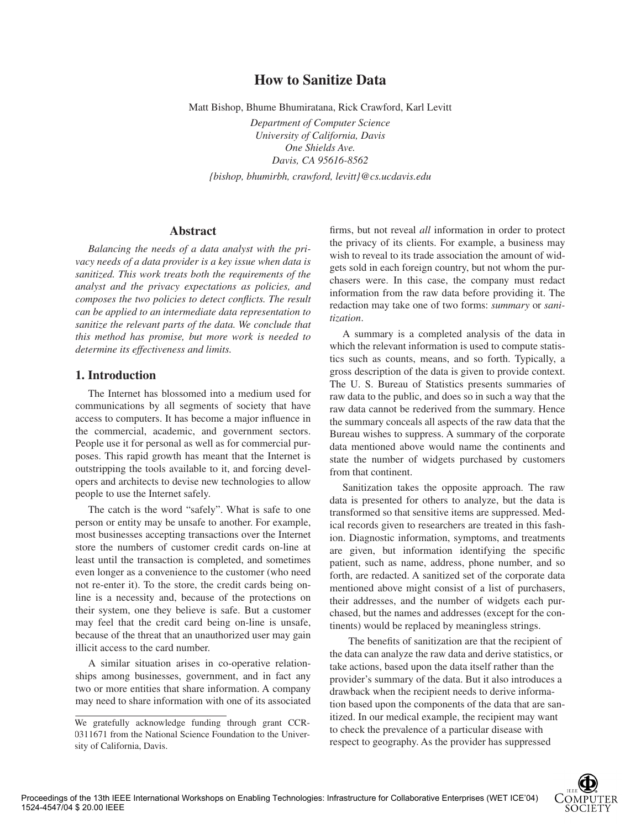# **How to Sanitize Data**

Matt Bishop, Bhume Bhumiratana, Rick Crawford, Karl Levitt

*Department of Computer Science University of California, Davis One Shields Ave. Davis, CA 95616-8562 {bishop, bhumirbh, crawford, levitt}@cs.ucdavis.edu*

## **Abstract**

*Balancing the needs of a data analyst with the privacy needs of a data provider is a key issue when data is sanitized. This work treats both the requirements of the analyst and the privacy expectations as policies, and composes the two policies to detect conflicts. The result can be applied to an intermediate data representation to sanitize the relevant parts of the data. We conclude that this method has promise, but more work is needed to determine its effectiveness and limits.* 

### **1. Introduction**

The Internet has blossomed into a medium used for communications by all segments of society that have access to computers. It has become a major influence in the commercial, academic, and government sectors. People use it for personal as well as for commercial purposes. This rapid growth has meant that the Internet is outstripping the tools available to it, and forcing developers and architects to devise new technologies to allow people to use the Internet safely.

The catch is the word "safely". What is safe to one person or entity may be unsafe to another. For example, most businesses accepting transactions over the Internet store the numbers of customer credit cards on-line at least until the transaction is completed, and sometimes even longer as a convenience to the customer (who need not re-enter it). To the store, the credit cards being online is a necessity and, because of the protections on their system, one they believe is safe. But a customer may feel that the credit card being on-line is unsafe, because of the threat that an unauthorized user may gain illicit access to the card number.

A similar situation arises in co-operative relationships among businesses, government, and in fact any two or more entities that share information. A company may need to share information with one of its associated firms, but not reveal *all* information in order to protect the privacy of its clients. For example, a business may wish to reveal to its trade association the amount of widgets sold in each foreign country, but not whom the purchasers were. In this case, the company must redact information from the raw data before providing it. The redaction may take one of two forms: *summary* or *sanitization*.

A summary is a completed analysis of the data in which the relevant information is used to compute statistics such as counts, means, and so forth. Typically, a gross description of the data is given to provide context. The U. S. Bureau of Statistics presents summaries of raw data to the public, and does so in such a way that the raw data cannot be rederived from the summary. Hence the summary conceals all aspects of the raw data that the Bureau wishes to suppress. A summary of the corporate data mentioned above would name the continents and state the number of widgets purchased by customers from that continent.

Sanitization takes the opposite approach. The raw data is presented for others to analyze, but the data is transformed so that sensitive items are suppressed. Medical records given to researchers are treated in this fashion. Diagnostic information, symptoms, and treatments are given, but information identifying the specific patient, such as name, address, phone number, and so forth, are redacted. A sanitized set of the corporate data mentioned above might consist of a list of purchasers, their addresses, and the number of widgets each purchased, but the names and addresses (except for the continents) would be replaced by meaningless strings.

The benefits of sanitization are that the recipient of the data can analyze the raw data and derive statistics, or take actions, based upon the data itself rather than the provider's summary of the data. But it also introduces a drawback when the recipient needs to derive information based upon the components of the data that are sanitized. In our medical example, the recipient may want to check the prevalence of a particular disease with respect to geography. As the provider has suppressed



We gratefully acknowledge funding through grant CCR-0311671 from the National Science Foundation to the University of California, Davis.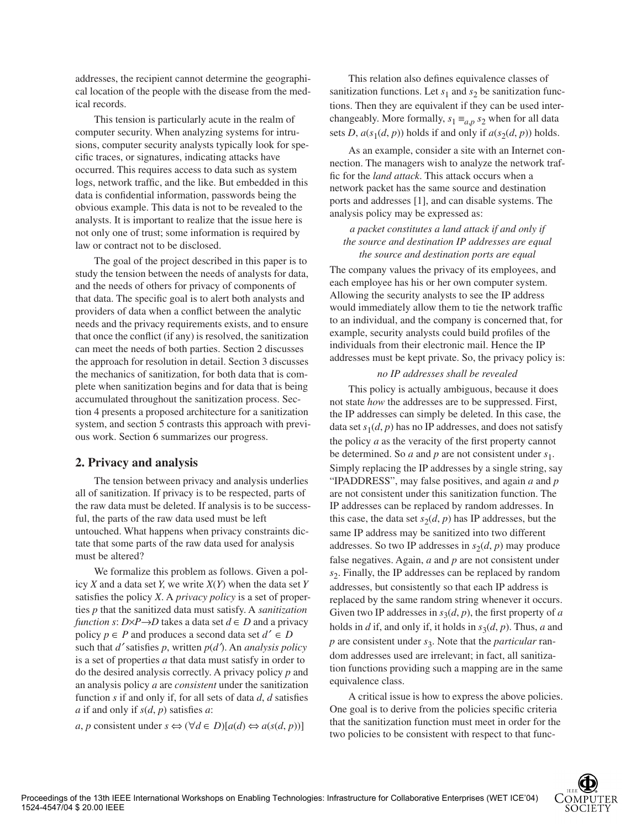addresses, the recipient cannot determine the geographical location of the people with the disease from the medical records.

This tension is particularly acute in the realm of computer security. When analyzing systems for intrusions, computer security analysts typically look for specific traces, or signatures, indicating attacks have occurred. This requires access to data such as system logs, network traffic, and the like. But embedded in this data is confidential information, passwords being the obvious example. This data is not to be revealed to the analysts. It is important to realize that the issue here is not only one of trust; some information is required by law or contract not to be disclosed.

The goal of the project described in this paper is to study the tension between the needs of analysts for data, and the needs of others for privacy of components of that data. The specific goal is to alert both analysts and providers of data when a conflict between the analytic needs and the privacy requirements exists, and to ensure that once the conflict (if any) is resolved, the sanitization can meet the needs of both parties. Section 2 discusses the approach for resolution in detail. Section 3 discusses the mechanics of sanitization, for both data that is complete when sanitization begins and for data that is being accumulated throughout the sanitization process. Section 4 presents a proposed architecture for a sanitization system, and section 5 contrasts this approach with previous work. Section 6 summarizes our progress.

## **2. Privacy and analysis**

The tension between privacy and analysis underlies all of sanitization. If privacy is to be respected, parts of the raw data must be deleted. If analysis is to be successful, the parts of the raw data used must be left untouched. What happens when privacy constraints dictate that some parts of the raw data used for analysis must be altered?

We formalize this problem as follows. Given a policy *X* and a data set *Y*, we write *X*(*Y*) when the data set *Y* satisfies the policy *X*. A *privacy policy* is a set of properties *p* that the sanitized data must satisfy. A *sanitization function s*:  $D \times P \rightarrow D$  takes a data set  $d \in D$  and a privacy policy  $p \in P$  and produces a second data set  $d' \in D$ such that *d*′ satisfies *p*, written *p*(*d*′). An *analysis policy*  is a set of properties *a* that data must satisfy in order to do the desired analysis correctly. A privacy policy *p* and an analysis policy *a* are *consistent* under the sanitization function *s* if and only if, for all sets of data *d*, *d* satisfies *a* if and only if *s*(*d*, *p*) satisfies *a*:

*a*, *p* consistent under *s* ⇔ (∀*d* ∈ *D*)[ $a$ (*d*) ⇔  $a$ ( $s$ (*d*, *p*))]

This relation also defines equivalence classes of sanitization functions. Let  $s_1$  and  $s_2$  be sanitization functions. Then they are equivalent if they can be used interchangeably. More formally,  $s_1 \equiv_{a,p} s_2$  when for all data sets *D*,  $a(s_1(d, p))$  holds if and only if  $a(s_2(d, p))$  holds.

As an example, consider a site with an Internet connection. The managers wish to analyze the network traffic for the *land attack*. This attack occurs when a network packet has the same source and destination ports and addresses [1], and can disable systems. The analysis policy may be expressed as:

## *a packet constitutes a land attack if and only if the source and destination IP addresses are equal the source and destination ports are equal*

The company values the privacy of its employees, and each employee has his or her own computer system. Allowing the security analysts to see the IP address would immediately allow them to tie the network traffic to an individual, and the company is concerned that, for example, security analysts could build profiles of the individuals from their electronic mail. Hence the IP addresses must be kept private. So, the privacy policy is:

### *no IP addresses shall be revealed*

This policy is actually ambiguous, because it does not state *how* the addresses are to be suppressed. First, the IP addresses can simply be deleted. In this case, the data set  $s_1(d, p)$  has no IP addresses, and does not satisfy the policy *a* as the veracity of the first property cannot be determined. So *a* and *p* are not consistent under *s*1. Simply replacing the IP addresses by a single string, say "IPADDRESS", may false positives, and again *a* and *p* are not consistent under this sanitization function. The IP addresses can be replaced by random addresses. In this case, the data set  $s_2(d, p)$  has IP addresses, but the same IP address may be sanitized into two different addresses. So two IP addresses in  $s_2(d, p)$  may produce false negatives. Again, *a* and *p* are not consistent under *s*2. Finally, the IP addresses can be replaced by random addresses, but consistently so that each IP address is replaced by the same random string whenever it occurs. Given two IP addresses in  $s_3(d, p)$ , the first property of *a* holds in *d* if, and only if, it holds in  $s_3(d, p)$ . Thus, *a* and *p* are consistent under *s*3. Note that the *particular* random addresses used are irrelevant; in fact, all sanitization functions providing such a mapping are in the same equivalence class.

A critical issue is how to express the above policies. One goal is to derive from the policies specific criteria that the sanitization function must meet in order for the two policies to be consistent with respect to that func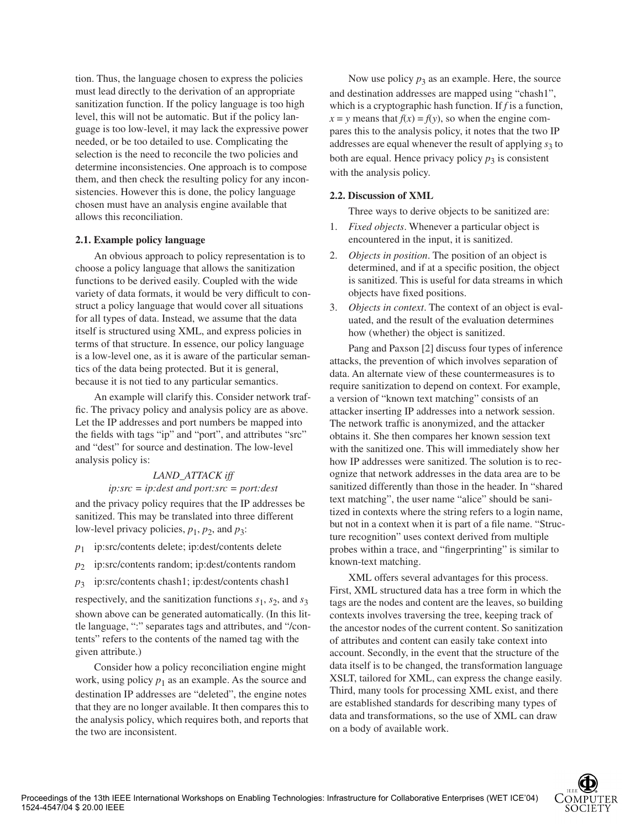tion. Thus, the language chosen to express the policies must lead directly to the derivation of an appropriate sanitization function. If the policy language is too high level, this will not be automatic. But if the policy language is too low-level, it may lack the expressive power needed, or be too detailed to use. Complicating the selection is the need to reconcile the two policies and determine inconsistencies. One approach is to compose them, and then check the resulting policy for any inconsistencies. However this is done, the policy language chosen must have an analysis engine available that allows this reconciliation.

#### **2.1. Example policy language**

An obvious approach to policy representation is to choose a policy language that allows the sanitization functions to be derived easily. Coupled with the wide variety of data formats, it would be very difficult to construct a policy language that would cover all situations for all types of data. Instead, we assume that the data itself is structured using XML, and express policies in terms of that structure. In essence, our policy language is a low-level one, as it is aware of the particular semantics of the data being protected. But it is general, because it is not tied to any particular semantics.

An example will clarify this. Consider network traffic. The privacy policy and analysis policy are as above. Let the IP addresses and port numbers be mapped into the fields with tags "ip" and "port", and attributes "src" and "dest" for source and destination. The low-level analysis policy is:

## *LAND\_ATTACK iff ip:src = ip:dest and port:src = port:dest*

and the privacy policy requires that the IP addresses be sanitized. This may be translated into three different low-level privacy policies,  $p_1$ ,  $p_2$ , and  $p_3$ :

- *p*<sup>1</sup> ip:src/contents delete; ip:dest/contents delete
- *p*<sup>2</sup> ip:src/contents random; ip:dest/contents random
- *p*<sup>3</sup> ip:src/contents chash1; ip:dest/contents chash1

respectively, and the sanitization functions  $s_1$ ,  $s_2$ , and  $s_3$ shown above can be generated automatically. (In this little language, ":" separates tags and attributes, and "/contents" refers to the contents of the named tag with the given attribute.)

Consider how a policy reconciliation engine might work, using policy  $p_1$  as an example. As the source and destination IP addresses are "deleted", the engine notes that they are no longer available. It then compares this to the analysis policy, which requires both, and reports that the two are inconsistent.

Now use policy  $p_3$  as an example. Here, the source and destination addresses are mapped using "chash1", which is a cryptographic hash function. If *f* is a function,  $x = y$  means that  $f(x) = f(y)$ , so when the engine compares this to the analysis policy, it notes that the two IP addresses are equal whenever the result of applying  $s_3$  to both are equal. Hence privacy policy  $p_3$  is consistent with the analysis policy.

#### **2.2. Discussion of XML**

Three ways to derive objects to be sanitized are:

- 1. *Fixed objects*. Whenever a particular object is encountered in the input, it is sanitized.
- 2. *Objects in position*. The position of an object is determined, and if at a specific position, the object is sanitized. This is useful for data streams in which objects have fixed positions.
- 3. *Objects in context*. The context of an object is evaluated, and the result of the evaluation determines how (whether) the object is sanitized.

Pang and Paxson [2] discuss four types of inference attacks, the prevention of which involves separation of data. An alternate view of these countermeasures is to require sanitization to depend on context. For example, a version of "known text matching" consists of an attacker inserting IP addresses into a network session. The network traffic is anonymized, and the attacker obtains it. She then compares her known session text with the sanitized one. This will immediately show her how IP addresses were sanitized. The solution is to recognize that network addresses in the data area are to be sanitized differently than those in the header. In "shared text matching", the user name "alice" should be sanitized in contexts where the string refers to a login name, but not in a context when it is part of a file name. "Structure recognition" uses context derived from multiple probes within a trace, and "fingerprinting" is similar to known-text matching.

XML offers several advantages for this process. First, XML structured data has a tree form in which the tags are the nodes and content are the leaves, so building contexts involves traversing the tree, keeping track of the ancestor nodes of the current content. So sanitization of attributes and content can easily take context into account. Secondly, in the event that the structure of the data itself is to be changed, the transformation language XSLT, tailored for XML, can express the change easily. Third, many tools for processing XML exist, and there are established standards for describing many types of data and transformations, so the use of XML can draw on a body of available work.

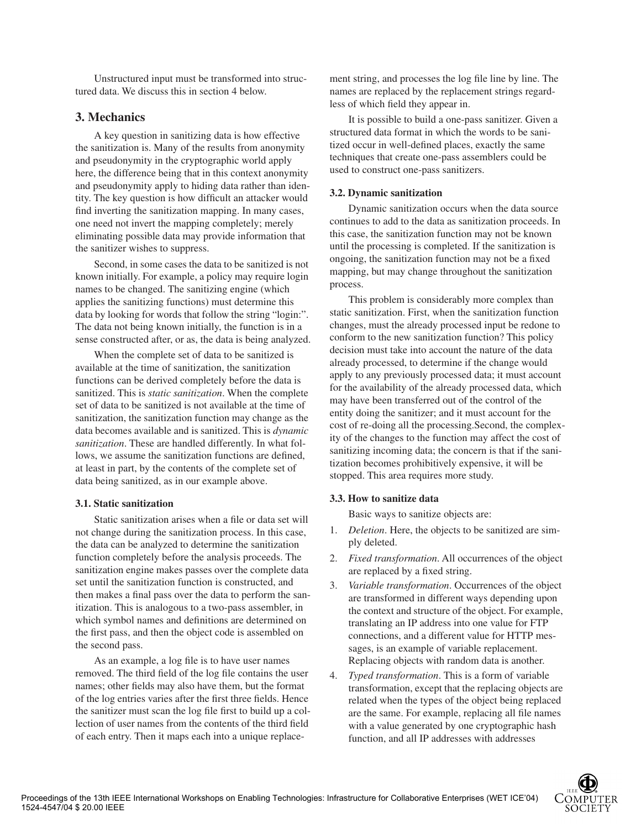Unstructured input must be transformed into structured data. We discuss this in section 4 below.

## **3. Mechanics**

A key question in sanitizing data is how effective the sanitization is. Many of the results from anonymity and pseudonymity in the cryptographic world apply here, the difference being that in this context anonymity and pseudonymity apply to hiding data rather than identity. The key question is how difficult an attacker would find inverting the sanitization mapping. In many cases, one need not invert the mapping completely; merely eliminating possible data may provide information that the sanitizer wishes to suppress.

Second, in some cases the data to be sanitized is not known initially. For example, a policy may require login names to be changed. The sanitizing engine (which applies the sanitizing functions) must determine this data by looking for words that follow the string "login:". The data not being known initially, the function is in a sense constructed after, or as, the data is being analyzed.

When the complete set of data to be sanitized is available at the time of sanitization, the sanitization functions can be derived completely before the data is sanitized. This is *static sanitization*. When the complete set of data to be sanitized is not available at the time of sanitization, the sanitization function may change as the data becomes available and is sanitized. This is *dynamic sanitization*. These are handled differently. In what follows, we assume the sanitization functions are defined, at least in part, by the contents of the complete set of data being sanitized, as in our example above.

#### **3.1. Static sanitization**

Static sanitization arises when a file or data set will not change during the sanitization process. In this case, the data can be analyzed to determine the sanitization function completely before the analysis proceeds. The sanitization engine makes passes over the complete data set until the sanitization function is constructed, and then makes a final pass over the data to perform the sanitization. This is analogous to a two-pass assembler, in which symbol names and definitions are determined on the first pass, and then the object code is assembled on the second pass.

As an example, a log file is to have user names removed. The third field of the log file contains the user names; other fields may also have them, but the format of the log entries varies after the first three fields. Hence the sanitizer must scan the log file first to build up a collection of user names from the contents of the third field of each entry. Then it maps each into a unique replacement string, and processes the log file line by line. The names are replaced by the replacement strings regardless of which field they appear in.

It is possible to build a one-pass sanitizer. Given a structured data format in which the words to be sanitized occur in well-defined places, exactly the same techniques that create one-pass assemblers could be used to construct one-pass sanitizers.

### **3.2. Dynamic sanitization**

Dynamic sanitization occurs when the data source continues to add to the data as sanitization proceeds. In this case, the sanitization function may not be known until the processing is completed. If the sanitization is ongoing, the sanitization function may not be a fixed mapping, but may change throughout the sanitization process.

This problem is considerably more complex than static sanitization. First, when the sanitization function changes, must the already processed input be redone to conform to the new sanitization function? This policy decision must take into account the nature of the data already processed, to determine if the change would apply to any previously processed data; it must account for the availability of the already processed data, which may have been transferred out of the control of the entity doing the sanitizer; and it must account for the cost of re-doing all the processing.Second, the complexity of the changes to the function may affect the cost of sanitizing incoming data; the concern is that if the sanitization becomes prohibitively expensive, it will be stopped. This area requires more study.

## **3.3. How to sanitize data**

Basic ways to sanitize objects are:

- 1. *Deletion*. Here, the objects to be sanitized are simply deleted.
- 2. *Fixed transformation*. All occurrences of the object are replaced by a fixed string.
- 3. *Variable transformation*. Occurrences of the object are transformed in different ways depending upon the context and structure of the object. For example, translating an IP address into one value for FTP connections, and a different value for HTTP messages, is an example of variable replacement. Replacing objects with random data is another.
- 4. *Typed transformation*. This is a form of variable transformation, except that the replacing objects are related when the types of the object being replaced are the same. For example, replacing all file names with a value generated by one cryptographic hash function, and all IP addresses with addresses

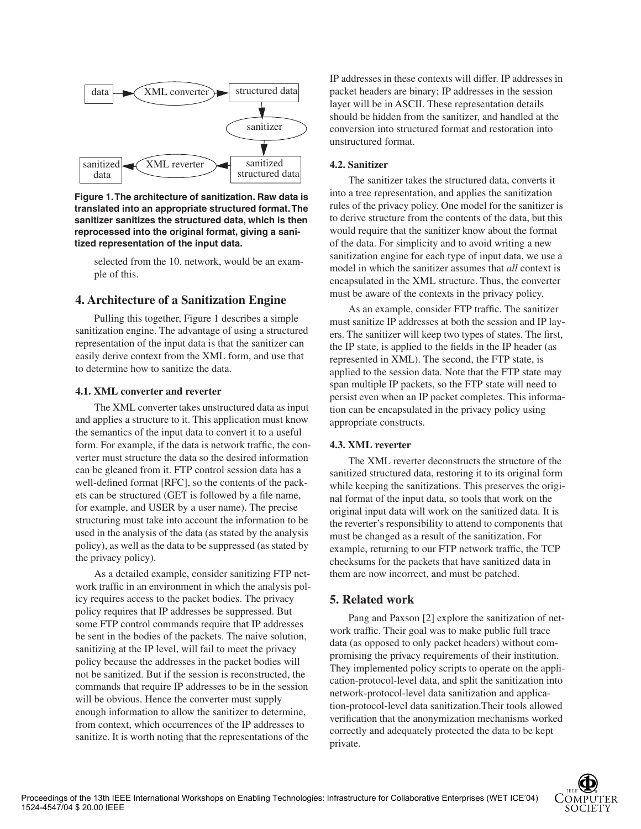

**Figure 1. The architecture of sanitization. Raw data is translated into an appropriate structured format. The sanitizer sanitizes the structured data, which is then reprocessed into the original format, giving a sanitized representation of the input data.**

selected from the 10. network, would be an example of this.

## **4. Architecture of a Sanitization Engine**

Pulling this together, Figure 1 describes a simple sanitization engine. The advantage of using a structured representation of the input data is that the sanitizer can easily derive context from the XML form, and use that to determine how to sanitize the data.

#### **4.1. XML converter and reverter**

The XML converter takes unstructured data as input and applies a structure to it. This application must know the semantics of the input data to convert it to a useful form. For example, if the data is network traffic, the converter must structure the data so the desired information can be gleaned from it. FTP control session data has a well-defined format [RFC], so the contents of the packets can be structured (GET is followed by a file name, for example, and USER by a user name). The precise structuring must take into account the information to be used in the analysis of the data (as stated by the analysis policy), as well as the data to be suppressed (as stated by the privacy policy).

As a detailed example, consider sanitizing FTP network traffic in an environment in which the analysis policy requires access to the packet bodies. The privacy policy requires that IP addresses be suppressed. But some FTP control commands require that IP addresses be sent in the bodies of the packets. The naive solution, sanitizing at the IP level, will fail to meet the privacy policy because the addresses in the packet bodies will not be sanitized. But if the session is reconstructed, the commands that require IP addresses to be in the session will be obvious. Hence the converter must supply enough information to allow the sanitizer to determine, from context, which occurrences of the IP addresses to sanitize. It is worth noting that the representations of the

IP addresses in these contexts will differ. IP addresses in packet headers are binary; IP addresses in the session layer will be in ASCII. These representation details should be hidden from the sanitizer, and handled at the conversion into structured format and restoration into unstructured format.

## **4.2. Sanitizer**

The sanitizer takes the structured data, converts it into a tree representation, and applies the sanitization rules of the privacy policy. One model for the sanitizer is to derive structure from the contents of the data, but this would require that the sanitizer know about the format of the data. For simplicity and to avoid writing a new sanitization engine for each type of input data, we use a model in which the sanitizer assumes that *all* context is encapsulated in the XML structure. Thus, the converter must be aware of the contexts in the privacy policy.

As an example, consider FTP traffic. The sanitizer must sanitize IP addresses at both the session and IP layers. The sanitizer will keep two types of states. The first, the IP state, is applied to the fields in the IP header (as represented in XML). The second, the FTP state, is applied to the session data. Note that the FTP state may span multiple IP packets, so the FTP state will need to persist even when an IP packet completes. This information can be encapsulated in the privacy policy using appropriate constructs.

#### **4.3. XML reverter**

The XML reverter deconstructs the structure of the sanitized structured data, restoring it to its original form while keeping the sanitizations. This preserves the original format of the input data, so tools that work on the original input data will work on the sanitized data. It is the reverter's responsibility to attend to components that must be changed as a result of the sanitization. For example, returning to our FTP network traffic, the TCP checksums for the packets that have sanitized data in them are now incorrect, and must be patched.

#### **5. Related work**

Pang and Paxson [2] explore the sanitization of network traffic. Their goal was to make public full trace data (as opposed to only packet headers) without compromising the privacy requirements of their institution. They implemented policy scripts to operate on the application-protocol-level data, and split the sanitization into network-protocol-level data sanitization and application-protocol-level data sanitization.Their tools allowed verification that the anonymization mechanisms worked correctly and adequately protected the data to be kept private.